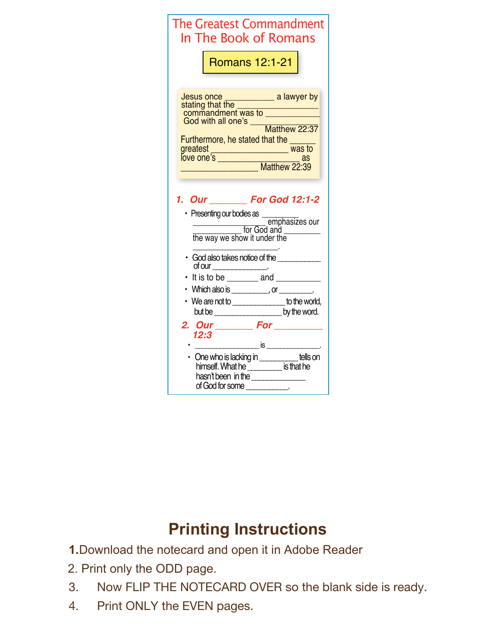| The Greatest Commandment<br>In The Book of Romans                                                                                                                                                                                                                                                                                               |  |  |
|-------------------------------------------------------------------------------------------------------------------------------------------------------------------------------------------------------------------------------------------------------------------------------------------------------------------------------------------------|--|--|
| Romans 12:1-21                                                                                                                                                                                                                                                                                                                                  |  |  |
| Jesus once ______________ a lawyer by<br>stating that the __________________________<br>commandment was to<br>God with all one's ____<br>Matthew 22:37<br>Furthermore, he stated that the<br>greatest <sub>2</sub>                                                                                                                              |  |  |
| 1. Our ________ For God 12:1-2<br>emphasizes our<br><u> Cord</u> and <u>Cornel</u> for God and<br>the way we show it under the<br>· God also takes notice of the                                                                                                                                                                                |  |  |
| of our $\overline{\phantom{a}}$<br>It is to be $\frac{1}{2}$ and $\frac{1}{2}$<br>Which also is ____________, or _________.                                                                                                                                                                                                                     |  |  |
| • We are not to ________________ to the world,<br>but be __________________________ by the word.                                                                                                                                                                                                                                                |  |  |
| 2. Our __________ For __________<br>12:3                                                                                                                                                                                                                                                                                                        |  |  |
| • One who is lacking in _________ tells on<br>himself. What he __________ is that he<br>hasn't been in the <b>contract the contract of the set of the set of the set of the set of the set of the set of the set of the set of the set of the set of the set of the set of the set of the set of the set of the set of t</b><br>of God for some |  |  |

## **Printing Instructions**

**1.**Download the notecard and open it in Adobe Reader

- 2. Print only the ODD page.
- 3. Now FLIP THE NOTECARD OVER so the blank side is ready.
- 4. Print ONLY the EVEN pages.